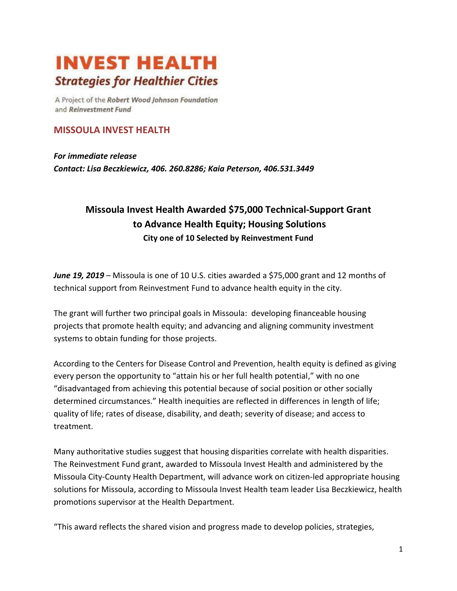## **INVEST HEALTH Strategies for Healthier Cities**

A Project of the Robert Wood Johnson Foundation and Reinvestment Fund

## **MISSOULA INVEST HEALTH**

*For immediate release Contact: Lisa Beczkiewicz, 406. 260.8286; Kaia Peterson, 406.531.3449*

## **Missoula Invest Health Awarded \$75,000 Technical-Support Grant to Advance Health Equity; Housing Solutions City one of 10 Selected by Reinvestment Fund**

*June 19, 2019* – Missoula is one of 10 U.S. cities awarded a \$75,000 grant and 12 months of technical support from Reinvestment Fund to advance health equity in the city.

The grant will further two principal goals in Missoula: developing financeable housing projects that promote health equity; and advancing and aligning community investment systems to obtain funding for those projects.

According to the Centers for Disease Control and Prevention, health equity is defined as giving every person the opportunity to "attain his or her full health potential," with no one "disadvantaged from achieving this potential because of social position or other socially determined circumstances." Health inequities are reflected in differences in length of life; quality of life; rates of disease, disability, and death; severity of disease; and access to treatment.

Many authoritative studies suggest that housing disparities correlate with health disparities. The Reinvestment Fund grant, awarded to Missoula Invest Health and administered by the Missoula City-County Health Department, will advance work on citizen-led appropriate housing solutions for Missoula, according to Missoula Invest Health team leader Lisa Beczkiewicz, health promotions supervisor at the Health Department.

"This award reflects the shared vision and progress made to develop policies, strategies,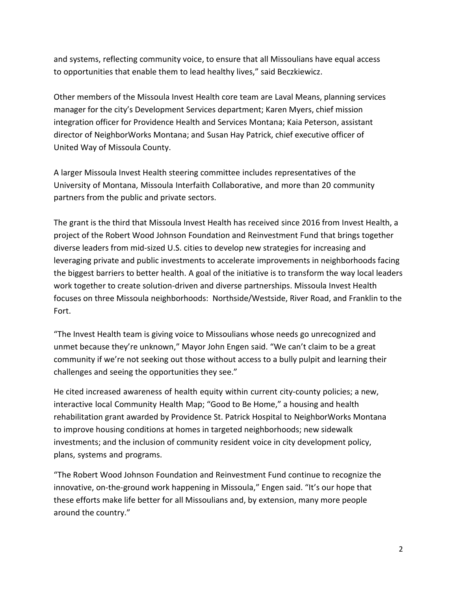and systems, reflecting community voice, to ensure that all Missoulians have equal access to opportunities that enable them to lead healthy lives," said Beczkiewicz.

Other members of the Missoula Invest Health core team are Laval Means, planning services manager for the city's Development Services department; Karen Myers, chief mission integration officer for Providence Health and Services Montana; Kaia Peterson, assistant director of NeighborWorks Montana; and Susan Hay Patrick, chief executive officer of United Way of Missoula County.

A larger Missoula Invest Health steering committee includes representatives of the University of Montana, Missoula Interfaith Collaborative, and more than 20 community partners from the public and private sectors.

The grant is the third that Missoula Invest Health has received since 2016 from Invest Health, a project of the Robert Wood Johnson Foundation and Reinvestment Fund that brings together diverse leaders from mid-sized U.S. cities to develop new strategies for increasing and leveraging private and public investments to accelerate improvements in neighborhoods facing the biggest barriers to better health. A goal of the initiative is to transform the way local leaders work together to create solution-driven and diverse partnerships. Missoula Invest Health focuses on three Missoula neighborhoods: Northside/Westside, River Road, and Franklin to the Fort.

"The Invest Health team is giving voice to Missoulians whose needs go unrecognized and unmet because they're unknown," Mayor John Engen said. "We can't claim to be a great community if we're not seeking out those without access to a bully pulpit and learning their challenges and seeing the opportunities they see."

He cited increased awareness of health equity within current city-county policies; a new, interactive local Community Health Map; "Good to Be Home," a housing and health rehabilitation grant awarded by Providence St. Patrick Hospital to NeighborWorks Montana to improve housing conditions at homes in targeted neighborhoods; new sidewalk investments; and the inclusion of community resident voice in city development policy, plans, systems and programs.

"The Robert Wood Johnson Foundation and Reinvestment Fund continue to recognize the innovative, on-the-ground work happening in Missoula," Engen said. "It's our hope that these efforts make life better for all Missoulians and, by extension, many more people around the country."